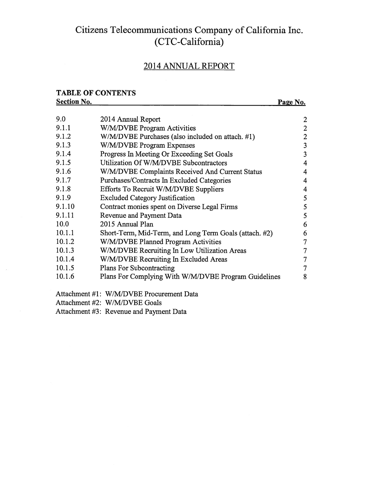### Citizens Telecommunications Company of California Inc. (CTC-California)

### 2014 ANNUAL REPORT

### TABLE OF CONTENTS

### Section No. 2012 Page No. 9.0 2014 Annual Report 2 9.1.1 W/M/DVBE Program Activities 2 9.1.2 W/M/DVBE Purchases (also included on attach. #1) 2 9.1.3 W/M/DVBE Program Expenses 3 9.1.4 Progress In Meeting Or Exceeding Set Goals 3 9.1.5 Utilization Of W/M/DVBE Subcontractors 4 9.1.6 W/M/DVBE Complaints Received And Current Status 4 9.1.7 Purchases/Contracts In Excluded Categories 4 9.1.8 Efforts To Recruit W/M/DVBE Suppliers 4 9.1.9 Excluded Category Justification 5 9.1.10 Contract monies spent on Diverse Legal Firms 5 9.1.11 Revenue and Payment Data 5 10.0 2015 Annual Plan 6 10.1.1 Short-Term, Mid-Term, and Long Term Goals (attach. #2) 6 10.1.2 W/M/DVBE Planned Program Activities 7 10.1.3 W/M/DVBE Recruiting In Low Utilization Areas 7 10.1.4 W/M/DVBE Recruiting In Excluded Areas 7 10.1.5 Plans For Subcontracting 7 10.1.6 Plans For Complying With W/M/DVBE Program Guidelines 8

Attachment #1: W/M/DVBE Procurement Data

Attachment #2: W/M/DVBE Goals

Attachment #3: Revenue and Payment Data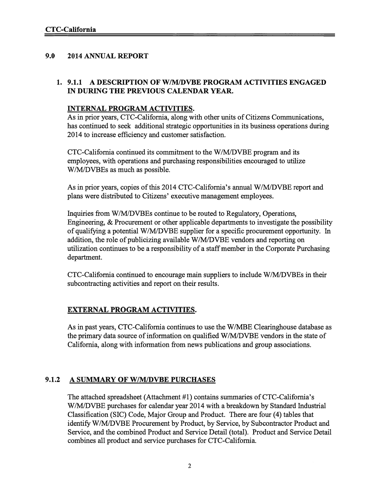### 9.0 2014 ANNUAL REPORT

### 1. 9.1.1 A DESCRIPTION OF W/MIDVBE PROGRAM ACTIVITIES ENGAGED IN DURING THE PREVIOUS CALENDAR YEAR.

### INTERNAL PROGRAM ACTIVITIES.

As in prior years, CTC-California, along with other units of Citizens Communications, has continued to seek additional strategic opportunities in its business operations during 2014 to increase efficiency and customer satisfaction.

CTC-California continued its commitment to the W/M/DVBE program and its employees, with operations and purchasing responsibilities encouraged to utilize W/M/DVBEs as much as possible.

As in prior years, copies ofthis 2014 CTC-California's annual W/M/DVBE repor<sup>t</sup> and plans were distributed to Citizens' executive managemen<sup>t</sup> employees.

Inquiries from W/M/DVBEs continue to be routed to Regulatory, Operations, Engineering, & Procurement or other applicable departments to investigate the possibility of qualifying <sup>a</sup> potential W/M/DVBE supplier for <sup>a</sup> specific procuremen<sup>t</sup> opportunity. In addition, the role of publicizing available W/M/DVBE vendors and reporting on utilization continues to be <sup>a</sup> responsibility of <sup>a</sup> staffmember in the Corporate Purchasing department.

CTC-California continued to encourage main suppliers to include W/M/DVBEs in their subcontracting activities and repor<sup>t</sup> on their results.

### EXTERNAL PROGRAM ACTIVITIES.

As in pas<sup>t</sup> years, CTC-California continues to use the W/MBE Clearinghouse database as the primary data source of information on qualified W/M/DVBE vendors in the state of California, along with information from news publications and group associations.

### 9.1.2 A SUMMARY OF W/M/DVBE PURCHASES

The attached spreadsheet (Attachment #1) contains summaries of CTC-California's W/M/DVBE purchases for calendar year 2014 with <sup>a</sup> breakdown by Standard Industrial Classification (SIC) Code, Major Group and Product. There are four (4) tables that identify W/M/DVBE Procurement by Product, by Service, by Subcontractor Product and Service, and the combined Product and Service Detail (total). Product and Service Detail combines all product and service purchases for CTC-Califomia.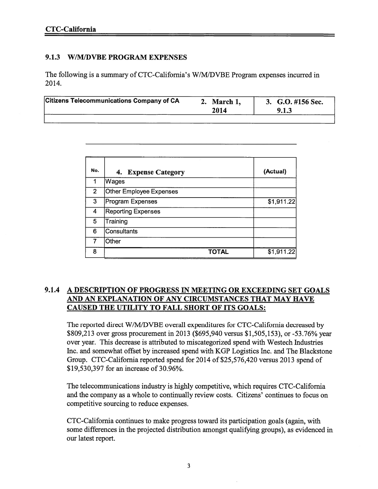### 9.1.3 W/M/DVBE PROGRAM EXPENSES

The following is <sup>a</sup> summary of CTC-California's W/M/DVBE Program expenses incurred in 2014.

|  | <b>Citizens Telecommunications Company of CA</b> | March 1,<br>2014 | 3. G.O. #156 Sec.<br>9.1.3 |
|--|--------------------------------------------------|------------------|----------------------------|
|--|--------------------------------------------------|------------------|----------------------------|

| No.            | 4. Expense Category            | (Actual)   |
|----------------|--------------------------------|------------|
| 1              | Wages                          |            |
| 2 <sup>1</sup> | <b>Other Employee Expenses</b> |            |
| 3              | <b>Program Expenses</b>        | \$1,911.22 |
| 4              | <b>Reporting Expenses</b>      |            |
| 5              | Training                       |            |
| 6              | <b>Consultants</b>             |            |
|                | Other                          |            |
| 8              | <b>TOTAL</b>                   | \$1,911.22 |

### 9.1.4 A DESCRIPTION OF PROGRESS IN MEETING OR EXCEEDING SET GOALS AND AN EXPLANATION OF ANY CIRCUMSTANCES THAT MAY HAVE CAUSED THE UTILITY TO FALL SHORT OF ITS GOALS:

The reported direct W/M/DVBE overall expenditures for CTC-California decreased by \$809,213 over gross procuremen<sup>t</sup> in 2013 (\$695,940 versus \$1,505,153), or -53.76% year over year. This decrease is attributed to miscategorized spend with Westech Industries Inc. and somewhat offset by increased spend with KGP Logistics Inc. and The Blackstone Group. CTC-Califomia reported spend for 2014 of \$25,576,420 versus 2013 spend of \$19,530,397 for an increase of 30.96%.

The telecommunications industry is highly competitive, which requires CTC-Califomia and the company as <sup>a</sup> whole to continually review costs. Citizens' continues to focus on competitive sourcing to reduce expenses.

CTC-Califomia continues to make progress toward its participation goals (again, with some differences in the projected distribution amongs<sup>t</sup> qualifying groups), as evidenced in our latest report.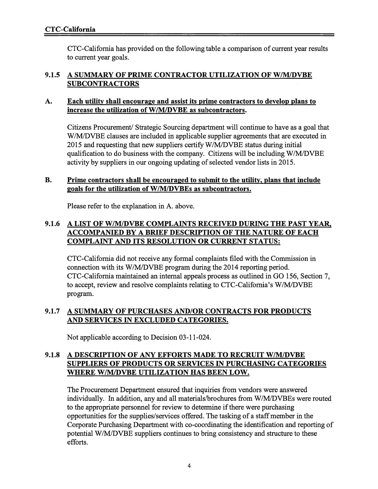CTC-Califomia has provided on the following table <sup>a</sup> comparison of current year results to current year goals.

### 9.1.5 A SUMMARY OF PRIME CONTRACTOR UTILIZATION OF W/M/DVBE **SUBCONTRACTORS**

### A. Each utility shall encourage and assist its prime contractors to develop plans to increase the utilization of W/M/DVBE as subcontractors.

Citizens Procurement/ Strategic Sourcing department will continue to have as a goal that W/M/DVBE clauses are included in applicable supplier agreements that are executed in 2015 and requesting that new suppliers certify W/M/DVBE status during initial qualification to do business with the company. Citizens will be including W/M/DVBE activity by suppliers in our ongoing updating of selected vendor lists in 2015.

### B. Prime contractors shall be encouraged to submit to the utility, plans that include goals for the utilization of W/M/DVBEs as subcontractors.

Please refer to the explanation in A. above.

### 9.1.6 A LIST OF W/M/DVBE COMPLAINTS RECEIVED DURING THE PAST YEAR. ACCOMPANIED BY A BRIEF DESCRIPTION OF THE NATURE OF EACH COMPLAINT AND ITS RESOLUTION OR CURRENT STATUS:

CTC-Califomia did not receive any formal complaints filed with the Commission in connection with its W/M/DVBE program during the 2014 reporting period. CTC-Califomia maintained an internal appeals process as outlined in GO 156, Section 7, to accept, review and resolve complaints relating to CTC-California's W/M/DVBE program.

### 9.1.7 A SUMMARY OF PURCHASES AND/OR CONTRACTS FOR PRODUCTS AND SERVICES IN EXCLUDED CATEGORIES.

Not applicable according to Decision 03-11-024.

### 9.1.8 A DESCRIPTION OF ANY EFFORTS MADE TO RECRUIT W/M/DVBE SUPPLIERS OF PRODUCTS OR SERVICES IN PURCHASING CATEGORIES WHERE W/M/DVBE UTILIZATION HAS BEEN LOW.

The Procurement Department ensured that inquiries from vendors were answered individually. In addition, any and all materials/brochures from W/M/DVBEs were routed to the appropriate personnel for review to determine if there were purchasing opportunities for the supplies/services offered. The tasking of <sup>a</sup> staffmember in the Corporate Purchasing Department with co-coordinating the identification and reporting of potential W/M/DVBE suppliers continues to bring consistency and structure to these efforts.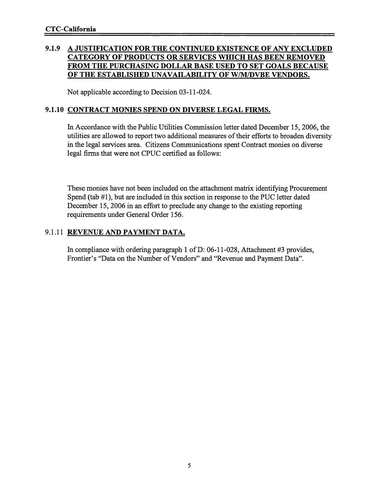### 9.1.9 A JUSTIFICATION FOR THE CONTINUED EXISTENCE OF ANY EXCLUDED CATEGORY OF PRODUCTS OR SERVICES WHICH HAS BEEN REMOVED FROM THE PURCHASING DOLLAR BASE USED TO SET GOALS BECAUSE OF THE ESTABLISHED UNAVAILABILITY OF W/M/DVBE VENDORS.

Not applicable according to Decision 03-11-024.

### 9.1.10 CONTRACT MONIES SPEND ON DIVERSE LEGAL FIRMS.

In Accordance with the Public Utilities Commission letter dated December 15, 2006, the utilities are allowed to report two additional measures of their efforts to broaden diversity in the legal services area. Citizens Communications spen<sup>t</sup> Contract monies on diverse legal firms that were not CPUC certified as follows:

These monies have not been included on the attachment matrix identifying Procurement Spend (tab #1), but are included in this section in response to the PUC letter dated December 15, 2006 in an effort to preclude any change to the existing reporting requirements under General Order 156.

### 9.1.11 REVENUE AND PAYMENT DATA.

In compliance with ordering paragraph 1 of D: 06-11-028, Attachment #3 provides, Frontier's "Data on the Number of Vendors" and "Revenue and Payment Data".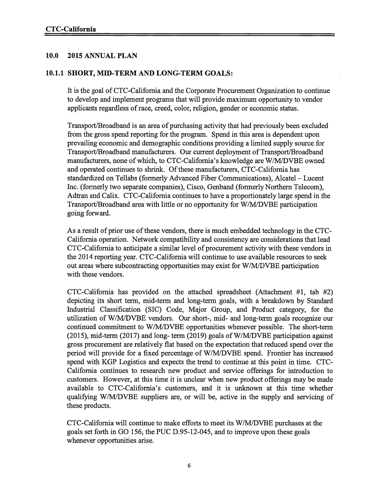### 10.0 2015 ANNUAL PLAN

### 10.1.1 SHORT, MID-TERM AND LONG-TERM GOALS:

It is the goal of CTC-California and the Corporate Procurement Organization to continue to develop and implement programs that will provide maximum opportunity to vendor applicants regardless of race, creed, color, religion, gender or economic status.

Transport/Broadband is an area of purchasing activity that had previously been excluded from the gross spend reporting for the program. Spend in this area is dependent upon prevailing economic and demographic conditions providing <sup>a</sup> limited supply source for Transport/Broadband manufacturers. Our current deployment of Transport/Broadband manufacturers, none of which, to CTC-California's knowledge are W/M/DVBE owned and operated continues to shrink. Of these manufacturers, CTC-California has standardized on Tellabs (formerly Advanced Fiber Communications), Alcatel — Lucent Inc. (formerly two separate companies), Cisco, Genband (formerly Northern Telecom), Adtran and Calix. CTC-California continues to have <sup>a</sup> proportionately large spend in the Transport/Broadband area with little or no opportunity for W/M/DVBE participation going forward.

As a result of prior use of these vendors, there is much embedded technology in the CTC-California operation. Network compatibility and consistency are considerations that lead CTC-Califomia to anticipate <sup>a</sup> similar level of procuremen<sup>t</sup> activity with these vendors in the 2014 reporting year. CTC-California will continue to use available resources to seek out areas where subcontracting opportunities may exist for W/M/DVBE participation with these vendors.

CTC-California has provided on the attached spreadsheet (Attachment #1, tab #2) depicting its short term, mid-term and long-term goals, with <sup>a</sup> breakdown by Standard Industrial Classification (SIC) Code, Major Group, and Product category, for the utilization of W/M/DVBE vendors. Our short-, mid- and long-term goals recognize our continued commitment to W/M!DVBE opportunities whenever possible. The short-term (2015), mid-term (2017) and long- term (2019) goals of W/M/DVBE participation against gross procuremen<sup>t</sup> are relatively flat based on the expectation that reduced spend over the period will provide for <sup>a</sup> fixed percentage of W/M/DVBE spend. Frontier has increased spend with KGP Logistics and expects the trend to continue at this point in time. CTC California continues to research new product and service offerings for introduction to customers. However, at this time it is unclear when new product offerings may be made available to CTC-Califomia's customers, and it is unknown at this time whether qualifying W/M/DVBE suppliers are, or will be, active in the supply and servicing of these products.

CTC-California will continue to make efforts to meet its W/MIDVBE purchases at the goals set forth in GO 156, the PUC D.95-12-045, and to improve upon these goals whenever opportunities arise.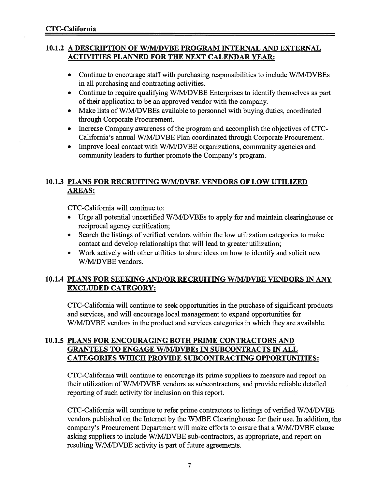### 10.1.2 A DESCRIPTION OF W/M/DVBE PROGRAM INTERNAL AND EXTERNAL ACTIVITIES PLANNED FOR THE NEXT CALENDAR YEAR:

- Continue to encourage staff with purchasing responsibilities to include W/M/DVBEs in all purchasing and contracting activities.
- Continue to require qualifying W/M/DVBE Enterprises to identify themselves as par<sup>t</sup> of their application to be an approved vendor with the company.
- Make lists of W/M/DVBEs available to personnel with buying duties, coordinated through Corporate Procurement.
- Increase Company awareness of the program and accomplish the objectives of CTC California's annual W/M/DVBE Plan coordinated through Corporate Procurement.
- Improve local contact with W/M/DVBE organizations, community agencies and community leaders to further promote the Company's program.

### 10.1.3 PLANS FOR RECRUITING W/M/DVBE VENDORS OF LOW UTILIZED AREAS:

CTC-California will continue to:

- Urge all potential uncertified W/M!DVBEs to apply for and maintain clearinghouse or reciprocal agency certification;
- Search the listings of verified vendors within the low utilization categories to make contact and develop relationships that will lead to greater utilization;
- Work actively with other utilities to share ideas on how to identify and solicit new W/M/DVBE vendors.

### 10.1.4 PLANS FOR SEEKING AND/OR RECRUITING W/M/DVBE VENDORS IN ANY EXCLUDED CATEGORY:

CTC-California will continue to seek opportunities in the purchase of significant products and services, and will encourage local managemen<sup>t</sup> to expand opportunities for W/M/DVBE vendors in the product and services categories in which they are available.

### 10.1.5 PLANS FOR ENCOURAGING BOTH PRIME CONTRACTORS AND GRANTEES TO ENGAGE W/M/DVBEs IN SUBCONTRACTS IN ALL CATEGORIES WHICH PROVIDE SUBCONTRACTING OPPORTUNITIES:

CTC-Califomia will continue to encourage its prime suppliers to measure and repor<sup>t</sup> on their utilization ofW/M/DVBE vendors as subcontractors, and provide reliable detailed reporting of such activity for inclusion on this report.

CTC-California will continue to refer prime contractors to listings of verified W/M/DVBE vendors published on the Internet by the WMBE Clearinghouse for their use. In addition, the company's Procurement Department will make efforts to ensure that <sup>a</sup> W/M/DVBE clause asking suppliers to include W/M/DVBE sub-contractors, as appropriate, and repor<sup>t</sup> on resulting W/M/DVBE activity is par<sup>t</sup> of future agreements.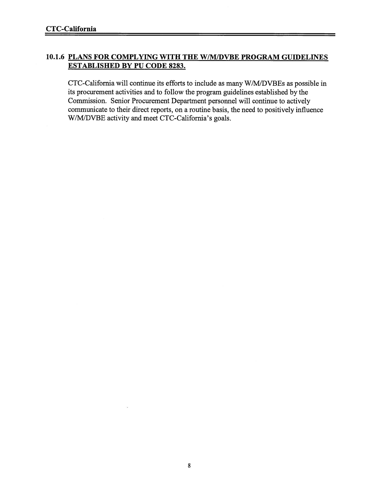### 10.1.6 PLANS FOR COMPLYING WITH THE W/M/DVBE PROGRAM GUIDELINES ESTABLISHED BY PU CODE 8283.

CTC-California will continue its efforts to include as many W/M/DVBEs as possible in its procuremen<sup>t</sup> activities and to follow the program guidelines established by the Commission. Senior Procurement Department personnel will continue to actively communicate to their direct reports, on <sup>a</sup> routine basis, the need to positively influence W/M/DVBE activity and meet CTC-California's goals.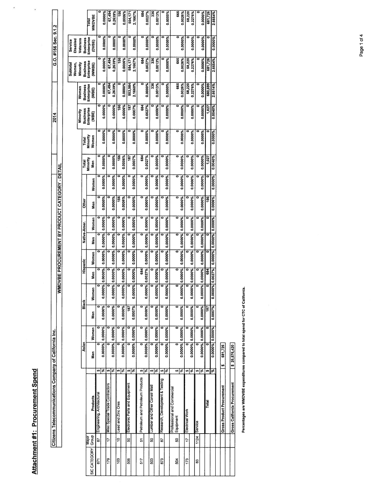| ֠<br><b>Contract Contract Contract Contract Contract Contract Contract Contract Contract Contract Contract Contract Co</b> |
|----------------------------------------------------------------------------------------------------------------------------|
|                                                                                                                            |
|                                                                                                                            |
|                                                                                                                            |
|                                                                                                                            |
|                                                                                                                            |

 $\overline{\phantom{a}}$ 

 $\ddot{\phantom{0}}$ 

|              |                       | Citizens Telecommunications Company of California Inc. |                   |                 |     |                    |                    |          |         |                 |                                              |         |                 |                   | 2014                |                     |                      | G.O. #156 Sec. 9.1.2 |                        |
|--------------|-----------------------|--------------------------------------------------------|-------------------|-----------------|-----|--------------------|--------------------|----------|---------|-----------------|----------------------------------------------|---------|-----------------|-------------------|---------------------|---------------------|----------------------|----------------------|------------------------|
|              |                       |                                                        |                   |                 |     |                    | <b>WWL</b>         |          |         |                 | DVBE PROCUREMENT BY PRODUCT CATEGORY - DETAI |         |                 |                   |                     |                     |                      |                      |                        |
|              |                       |                                                        |                   |                 |     |                    |                    |          |         |                 |                                              |         |                 |                   |                     |                     |                      |                      |                        |
|              |                       |                                                        |                   |                 |     |                    |                    |          |         |                 |                                              |         |                 |                   |                     |                     | <b>Subtotal</b>      | Service              |                        |
|              |                       |                                                        |                   |                 |     |                    |                    |          |         |                 |                                              |         |                 |                   |                     |                     | Women,               | Disabled             |                        |
|              |                       |                                                        |                   |                 |     |                    |                    |          |         |                 |                                              |         |                 |                   | Minority            | Women               | Minority             | Veterans             |                        |
|              |                       |                                                        |                   | Asian           |     | Black              |                    | Hispanic |         | Native-Amer.    | <b>Other</b>                                 |         | Total           | Total             | <b>Business</b>     | <b>Business</b>     | <b>Business</b>      | <b>Business</b>      |                        |
| SIC CATEGORY | Group<br><b>Major</b> | Products                                               | Men               | Women           | Men | Women              | Men                | Women    | Men     | Women           | <b>Sex</b>                                   | Women   | Minority<br>Men | Minority<br>Women | Enterprise<br>(MBE) | Enterprise<br>(WBE) | Enterprise<br>(WWBE) | Enterprise<br>(DVBE) | <b>WMDVBE</b><br>Total |
| 57           | 5                     | Engineering, Architectural                             |                   |                 |     |                    |                    |          |         |                 |                                              |         | 0               |                   |                     |                     |                      | o                    |                        |
|              |                       |                                                        | क ङ               | 0.0000% 0.0000% |     | 0.0000%            | 0.0000%<br>0.0000% | 0.0000%  | 0.0000% | 0.0000%         | 0.0000%                                      | 0.0000% | 0.0000%         | 0.0000%           | 0.0000%             | 0.0000%             | 0.0000%              | 0.0000%              | 0.0000%                |
| 179          | $\ddot{ }$            | Misc Special Trade Contractors                         | ఱ∣ఇ               |                 |     |                    | ē                  |          |         |                 |                                              |         |                 |                   |                     | 67,494              | 67,494               |                      | 67,494                 |
|              |                       |                                                        |                   | 0.0000% 0.0000% |     | 0.0000%            | 0.0000%<br>0.0000% | 0.0000%  | 0.0000% | 0.0000%         | 0.0000%                                      | 0.0000% | 0.0000%         | 0.0000%           | 0.0000%             | 0.2639%             | 0.2639%              | 0.0000%              | 1.2639%                |
| 103          | ă                     | Lead and Zinc Ores                                     | ∞ ङ               |                 |     |                    |                    |          |         |                 | 156                                          |         | 156             |                   | 156                 |                     | 156                  |                      | 156                    |
|              |                       |                                                        |                   | 0.0000% 0.0000% |     | 0.0000%            | 0.0000%<br>0.0000% | 0.0000%  | 0.0000% | 0.0000%         | 0.0006%                                      | 0.0000% | 0.0006%         | 0.0000%           | 0.0006%             | 0.0000%             | 0.0006%              | 0.0000%              | 0.0006%                |
| 506          | ន្ល                   | Electronic Parts and Equipment                         | ∞ ङ               |                 |     | 187                |                    |          |         |                 |                                              |         | 187             |                   | 187                 | 553,984             | 554,171              |                      | 554,171                |
|              |                       |                                                        |                   | 0.0000% 0.0000% |     | 0.0007%            | 0.0000%<br>0.0000% | 0.0000%  | 0.0000% | 0.0000%         | 0.0000%                                      | 0.0000% | 0.0007%         | 0.0000%           | 0.0007%             | 2.1660%             | 2.1667%              | 0.0000%              | 2.1667%                |
| 517          | 2                     | Petroleum and Petroleum Products                       | ⊕∣%               |                 | ៑   |                    |                    | 684      |         |                 |                                              |         | 684             |                   | 684                 |                     | 684                  |                      | 684                    |
|              |                       |                                                        |                   | 0.0000% 0.0000% |     | 0.0000%            | 0.0027%<br>0.0000% | 0.0000%  | 0.0000% | 0.0000%         | 0.0000%                                      | 0.0000% | 0.0027%         | 0.0000%           | 0.0027%             | 0.0000%             | 0.0027%              | 0.0000%              | 0.0027%                |
| 503          | ន្ល                   | Lumber and Other Constr Mat                            | ⊕ ॐ               |                 |     |                    |                    |          |         |                 |                                              |         |                 |                   |                     | 336                 | 33                   |                      | 336                    |
|              |                       |                                                        |                   | 0.0000% 0.0000% |     | 0.0000%            | 0.0000%<br>0.0000% | 0.0000%  | 0.0000% | 0.0000%         | 0.0000%                                      | 0.0000% | 0.0000%         | 0.0000%           | 0.0000%             | 0.0013%             | 0.0013%              | 0.0000%              | 0.0013%                |
| 873          | 53                    | Research, Development & Testing                        | क ङ               |                 |     |                    |                    |          |         |                 |                                              |         |                 |                   |                     |                     |                      |                      | 0                      |
|              |                       |                                                        |                   | 0.0000% 0.0000% |     | 0.0000%<br>0.0000% | 0.0000%            | 0.0000%  | 0.0000% | 0.0000%         | 0.0000%                                      | 0.0000% | 0.0000%         | 0.0000%           | 0.0000%             | 0.0000%             | 0.0000%              | 0.0000%              | 0.0000%                |
| 504          | ន                     | Professional and Commercial<br>Equipment               | श्रीरु            |                 |     | ۰                  |                    |          |         |                 |                                              |         |                 |                   |                     | 665                 | 665                  |                      | 665                    |
|              |                       |                                                        |                   | 0.0000% 0.0000% |     | 0.0000%<br>0.0000% | 0.0000%            | 0.0000%  | 0.0000% | 0.0000%         | 0.0000%                                      | 0.0000% | 0.0000%         | 0.0000%           | 0.0000%             | 0.0026%             | 0.0026%              | 0.0000%              | 0.0026%                |
| 173          | 17                    | Electrical Work                                        | ∞ ङ               | 0.0000% 0.0000% |     | 0.0000%<br>0.0000% | 0.0000%            | 0.0000%  | 0.0000% | 0.0000%         | 0.0000%                                      | 0.0000% | 0.0000%         | 0.0000%           | 0.0000%             | 58,220<br>.2276%    | 0.2276%<br>58,220    | 0.0000%              | 0.2276%<br>58,220      |
| 33           | 1124                  | Service                                                |                   |                 |     |                    |                    |          |         |                 |                                              |         |                 |                   |                     |                     |                      |                      |                        |
|              |                       |                                                        | 0.0000%<br>श्रीरू | 0.0000%         |     | 0.0000%<br>0.0000% | 0.0000%            | 0.0000%  | 0.0000% | 0.0000%         | 0.0000%                                      | 0.0000% | 0.0000%         | 0.0000%           | 0.0000%             | 0.0000%             | 0.0000%              | 0.0000%              | 0.0000%                |
|              |                       | Total                                                  | w                 |                 |     | 187                |                    | 684      |         |                 | 156                                          |         | 1,027           |                   | 1,027               | 680,699             | 681,726              | ۰                    | 681,726                |
|              |                       |                                                        | ぷ                 | 0.0000% 0.0000% |     | 0.0000%<br>0.0007% | 0.0027%            | 0.0000%  |         | 0.0000% 0.0000% | 0.0006%                                      | 0.0000% | 0.0040%         | 0.0000%           | 0.0040%             | 2.6614%             | 2.6654%              | 0.0000%              | 2.6654%                |
|              |                       | <b>Gross Product Procurement</b>                       | 681,726<br>m      |                 |     |                    |                    |          |         |                 |                                              |         |                 |                   |                     |                     |                      |                      |                        |
|              |                       |                                                        |                   |                 |     |                    |                    |          |         |                 |                                              |         |                 |                   |                     |                     |                      |                      |                        |
|              |                       | Gross California Procurement                           | \$25,576,420      |                 |     |                    |                    |          |         |                 |                                              |         |                 |                   |                     |                     |                      |                      |                        |

Percentages are WMDVBE expenditures compared to total spend for CTC of California. Percentages are WMDVBE expenditures compared to total spend for CTC of California.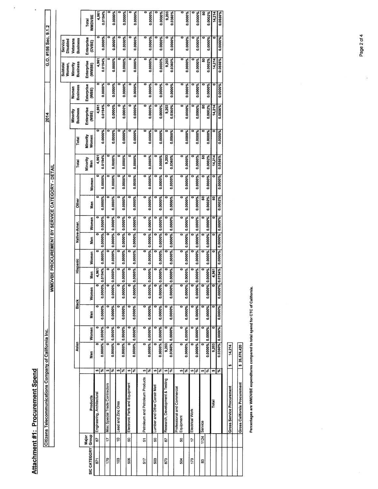|                     |                | Citizens Telecommunications Company of California Inc. |               |                                             |                      |                                 |                                 |                |                                 |                 |              |                                                 |              |                        |                   | 2014                      |                     |                          | G.O. #156 Sec. 9.1.2       |                   |
|---------------------|----------------|--------------------------------------------------------|---------------|---------------------------------------------|----------------------|---------------------------------|---------------------------------|----------------|---------------------------------|-----------------|--------------|-------------------------------------------------|--------------|------------------------|-------------------|---------------------------|---------------------|--------------------------|----------------------------|-------------------|
|                     |                |                                                        |               |                                             |                      |                                 |                                 |                |                                 |                 |              | WMDVBE PROCUREMENT BY SERVICE CATEGORY - DETAIL |              |                        |                   |                           |                     |                          |                            |                   |
|                     |                |                                                        |               |                                             |                      |                                 |                                 |                |                                 |                 |              |                                                 |              |                        |                   |                           |                     |                          |                            |                   |
|                     |                |                                                        |               |                                             |                      |                                 |                                 |                |                                 |                 |              |                                                 |              |                        |                   |                           |                     | <b>Subtota</b><br>Women, | Disabled<br><b>Service</b> |                   |
|                     |                |                                                        |               |                                             |                      |                                 |                                 |                |                                 |                 |              |                                                 |              |                        |                   | Minority                  | Women               | <b>Minority</b>          | Veterans                   |                   |
|                     |                |                                                        |               | Asian                                       |                      | Black                           |                                 | Hispanic       |                                 | Native-Amer.    |              | <b>Other</b>                                    |              | Total                  | Total             | Business                  | Business            | <b>Business</b>          | Business                   |                   |
| <b>SIC CATEGORY</b> | Major<br>Group | Products                                               |               | Nen                                         | Women                | Nen                             | Women                           | Sen<br>Se      | Women                           | Men             | Women        | Men                                             | Women        | <b>Minority</b><br>Men | Minority<br>Women | Enterprise<br><b>EBE)</b> | Enterprise<br>(WBE) | Enterprise<br>(WMBE)     | Enterprise<br>(DVBE)       | WMDVBE<br>Total   |
| 57                  | 29             | Engineering, Architectural                             | မာ            |                                             |                      |                                 |                                 | 4.961          |                                 |                 |              |                                                 | o            | 4,961                  |                   | 4.961                     | ៰                   | 4,961                    |                            | 4,961             |
|                     |                |                                                        | 圖             | 0.0000% 0.0000%                             |                      | 0.0000%                         | 0.0000%                         | 0.0194%        | 0.0000% 0.0000% 0.0000%         |                 |              | 0.0000%                                         | 0.0000%      | 0.0194%                | 0.0000%           | 0.0194%                   | 0.0000%             | 0.0194%                  | 0.0000%                    | 0.0194%           |
| 179                 | $\ddot{ }$     | <b>Misc Special Trade Contractors</b>                  | 圖<br>မာ       | 0.0000% 0.0000%                             |                      | 0.0000%                         | 0.0000%                         | 0.0000%        | 0.0000%                         | 0.0000%         | ,,00000      | 0.0000%                                         |              |                        |                   |                           |                     |                          |                            |                   |
| ខ្ល                 | å              | Lead and Zinc Ores                                     |               |                                             |                      |                                 |                                 |                |                                 |                 |              |                                                 | 0.0000%      | 0.0000%                | 0.0000%           | 0.0000%                   | 0.0000%             | 0.0000%                  | 0.0000%                    | 0.0000%           |
|                     |                |                                                        | श्रेष्ठ       | 0.0000% 0.0000%                             |                      | 0.0000%                         | 0.0000%                         | 0.0000%        | 0.0000% 0.0000% 0.0000%         |                 |              | 0.0000%                                         | 0.0000%      | 0.0000%                | 0.0000%           | 0.0000%                   | ۰<br>0.0000%        | 0.0000%                  | 0.0000%                    | 0.0000%           |
| 506                 | នួ             | Electronic Parts and Equipment                         | ø<br>圖        | 0.0000% 0.0000%                             |                      | 0.0000%                         | 0.0000%                         | 0.0000%        | 0.0000%                         | 0.0000% 0.0000% |              | 0.0000%                                         | 0.0000%      | ۰<br>0.0000%           | 0.0000%           | 0<br>0.0000%              | ۰<br>0.0000%        | 0.0000%                  | 0.0000%                    | 0.0000%           |
| 517                 | 5              | Petroleum and Petroleum Products                       | అ∣న్          | 0.0000% 0.0000%                             |                      | 0.0000%                         | 0.0000%<br>$\bullet$            | 0.0000%<br>0   | 0.0000% 0.0000% 0.0000%<br>ō    | 0               | 0            | 0<br>0.0000%                                    | 0.0000%      | 0<br>0.0000%           | 0.0000%           | 0                         | ۰                   | 0                        |                            | 0                 |
| 503                 | នួ             | Lumber and Other Constr Matl                           |               |                                             |                      |                                 |                                 |                |                                 |                 |              |                                                 |              |                        |                   | 0.0000%                   | 0.0000%             | 0.0000%                  | 0.0000%                    | 0.0000%           |
|                     |                |                                                        | ७ %           | 0.0000% 0.0000%                             |                      | 0.0000%                         | 0.0000%<br>ő                    | 0.0000%        | 0.0000%                         | 0.0000%         | 0.0000%      | 0.0000%                                         | 0.0000%      | 0.0000%                | 0.0000%           | 0.0000%                   | 0.0000%             | 0.0000%                  | 0.0000%                    | 0.0000%           |
| 873                 | 87             | Research, Development & Testing                        | $\frac{2}{3}$ | 0.0360% 0.0000%<br>9,203                    |                      | 0.0000%                         | 0.0000%<br>0                    | 1,0000%        | 0.0000%                         | 0.0000%         | 0.0000%      | 0.0000%                                         | 0.0000%      | 9,203<br>0.0360%       | 0.0000%           | 9,203<br>0.0360%          | ۰<br>0.0000%        | 0.0360%<br>9,203         | 0.0000%                    | 9,203<br>0.0360%  |
| ន្ល                 | S              | Professional and Commercial<br>Equipment               | क∣ङ           | 0.0000% 0.0000%<br>$\overline{\phantom{0}}$ | $\overline{\bullet}$ | $\overline{\bullet}$<br>0.0000% | 0.0000%<br>$\overline{\bullet}$ | ۰<br>0.0000%   | 0.0000%<br>ō                    | 0.0000%<br>0    | 0<br>0.0000% | ö<br>0.0000%                                    | o<br>0.0000% | 0<br>0.0000%           | o<br>0.0000%      | 0<br>0.0000%              | 0<br>0.0000%        | o<br>0.0000%             | 0.0000%                    | 0<br>0.0000%      |
| 173                 | 17             | Electrical Work                                        | 49<br>∣ङ      | 0.0000% 0.0000%                             |                      | 0.0000%                         | 0.0000%<br>o                    | 1.0000%        | 0.0000%                         | 0.0000%<br>Ξ    | 0.0000%      | 0.0000%                                         | 0.0000%      | 0.0000%                | 0.0000%           | 0.0000%                   | 0.0000%             | 0.0000%                  | 0.0000%                    | 0.0000%           |
| 3                   | 1124           | Service                                                | 圖<br>S)       | 0.0000% 0.0000%                             |                      |                                 |                                 |                |                                 |                 |              | នូ                                              |              | ິສ                     |                   | នូ                        | ۰                   | ន                        |                            | នូ                |
|                     |                | Total                                                  | w,            | 9,203                                       |                      | 0.0000%                         | 0.0000%<br>0                    | 0000%<br>4,961 | 0.0000% 0.0000% 0.0000%         | o               |              | 0.0002%<br>នូ                                   | õ<br>0.0000% | 0.0002%<br>14,214      | 0.0000%           | 0.0002%<br>14,214         | 0.0000%<br>۰        | 14,214<br>0.0002%        | 0<br>0.0000%               | 0.0002%<br>14,214 |
|                     |                |                                                        | ∥.⊀           | 0.0360% 0.0000%                             |                      | 0.0000%                         | 0.0000%                         |                | 0.0194% 0.0000% 0.0000% 0.0000% |                 |              | 0.0002%                                         | 0.0000%      | 0.0556%                | 0.0000%           | 0.0556%                   | 0.0000%             | 0.0556%                  | 0.0000%                    | 0.0556%           |
|                     |                | <b>Gross Service Procurement</b>                       | \$            | 14,214                                      |                      |                                 |                                 |                |                                 |                 |              |                                                 |              |                        |                   |                           |                     |                          |                            |                   |
|                     |                |                                                        |               |                                             |                      |                                 |                                 |                |                                 |                 |              |                                                 |              |                        |                   |                           |                     |                          |                            |                   |
|                     |                | <b>Gross California Procurement</b>                    |               | \$ 25,576,420                               |                      |                                 |                                 |                |                                 |                 |              |                                                 |              |                        |                   |                           |                     |                          |                            |                   |

Percentages are WMDVBE expenditures compared to total spend for CTC of California. Percentages are WMDVBE expenditures compared to total spend for CTC of California.

Page 2 of 4

 $\bar{1}$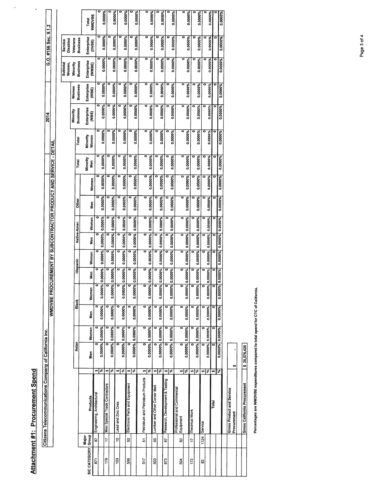Attachment #1: Procurement Spend Attachment #1: Procurement Spend

 $\ddot{\phantom{0}}$ 

×  $\overline{\Gamma}$ 

|              |                | Citizens Telecommunications Company of California Inc. |              |                 |           |                      |            |         |              |         |              |         |                                                      |                   | 2014                |                     |                      | G.O. #156 Sec. 9.1.2 |                 |
|--------------|----------------|--------------------------------------------------------|--------------|-----------------|-----------|----------------------|------------|---------|--------------|---------|--------------|---------|------------------------------------------------------|-------------------|---------------------|---------------------|----------------------|----------------------|-----------------|
|              |                |                                                        |              |                 |           | <b>WINDVBE PROCL</b> |            |         |              |         |              |         | REMENT BY SUBCONTRACTOR PRODUCT AND SERVICE - DETAIL |                   |                     |                     |                      |                      |                 |
|              |                |                                                        |              |                 |           |                      |            |         |              |         |              |         |                                                      |                   |                     |                     | <b>Subtotal</b>      | <b>Service</b>       |                 |
|              |                |                                                        |              |                 |           |                      |            |         |              |         |              |         |                                                      |                   |                     |                     | Women,               | Disabled             |                 |
|              |                |                                                        | Asian        |                 | Black     |                      | Hispanic   |         | Native-Amer. |         |              |         |                                                      |                   | Minority            | Women               | Minority             | Veterans             |                 |
|              |                |                                                        |              |                 |           |                      |            |         |              |         | <b>Other</b> |         | Total                                                | Total             | <b>Business</b>     | <b>Business</b>     | <b>Business</b>      | <b>Business</b>      |                 |
| SIC CATEGORY | Major<br>Group | Products                                               | Men          | Women           | Men       | Women                | Nen        | Women   | Men          | Women   | Men          | Women   | Minority<br>Men                                      | Minority<br>Women | Enterprise<br>(MBE) | Enterprise<br>(WBE) | Enterprise<br>(WWBE) | Enterprise<br>(DVBE) | WMDVBE<br>Total |
| 671          | 29             | U)<br>Engineering, Architectural                       |              |                 |           | 0                    |            |         | 0            |         |              |         | 0                                                    | ۰                 |                     |                     |                      |                      |                 |
|              |                | s,                                                     |              | 0.0000% 0.0000% | 0.0000%   | 0.0000% 0            | 0000%      | 0.0000% | 0.0000%      | 0.0000% | 0.0000%      | 0.0000% | 0.0000%                                              | 0.0000%           | 0.0000%             | 0.0000%             | 0.0000%              | 0.0000%              | 0.0000%         |
| 179          | 17             | 49<br>Misc Special Trade Contractors                   |              |                 |           |                      |            |         |              |         |              |         | 0                                                    |                   |                     |                     |                      |                      |                 |
|              |                | द्भ                                                    |              | 0.0000% 0.0000% | 0.0000%   | 0.0000% 0            | 0000%      | 0.0000% | 0.0000%      | 0.0000% | 0.0000%      | 0.0000% | 0.0000%                                              | 0.0000%           | 0.0000%             | 0.0000%             | 0.0000%              | 0.0000%              | 0.0000%         |
| 103          | å              | ø<br>Lead and Zinc Ores                                |              |                 |           | 0                    |            |         |              |         |              |         | ۰                                                    |                   |                     |                     |                      |                      |                 |
|              |                | इ                                                      |              | 0.0000% 0.0000% | 0.0000%   | 0.0000%              | 0000%<br>∘ | 0.0000% | 0.0000%      | 0.0000% | 0.0000%      | 0.0000% | 0.0000%                                              | 0.0000%           | 0.0000%             | 0.0000%             | 0.0000%              | 0.0000%              | 0.0000%         |
| 506          | នូ             | U)<br>Electronic Parts and Equipment                   |              |                 |           | ö                    |            |         |              |         |              |         | ۰                                                    |                   |                     |                     |                      |                      |                 |
|              |                | ∣ङ                                                     |              | 0.0000% 0.0000% | 0.0000%   | $0.0000%$ 0.         | 76000°     | 0.0000% | 0.0000%      | 0.0000% | 0.0000%      | 0.0000% | 0.0000%                                              | 0.0000%           | 0.0000%             | 0.0000%             | 0.0000%              | 0.0000%              | 0.0000%         |
| 517          | 57             | Ø<br>Petroleum and Petroleum Products                  |              | ō               |           | ᅙ                    |            | 0       |              |         |              |         |                                                      |                   |                     |                     |                      |                      |                 |
|              |                | इ                                                      |              | 0.0000% 0.0000% | 0.0000%   | 0.0000% 0.           | 0000%      | 0.0000% | 0.0000%      | 0.0000% | 0.0000%      | 0.0000% | 0.0000%                                              | 0.0000%           | 0.0000%             |                     |                      | ۰                    |                 |
| 503          | ន              | Ø<br>Lumber and Other Constr Matl                      |              |                 |           | 0                    |            |         |              |         |              |         |                                                      |                   |                     | 0.0000%             | 0.0000%              | 0.0000%              | 0.0000%         |
|              |                | 圖                                                      |              | 0.0000% 0.0000% | 0.0000%   | 0.0000% 0.           | 0000%      | 0.0000% | 0.0000%      | 0.0000% | 0.0000%      | 0.0000% | 0.0000%                                              | 0.0000%           | 0.0000%             | 0.0000%             | 0.0000%              | 0.0000%              | 0.0000%         |
| 873          | 5              | श्री<br>Research, Development & Testing                |              |                 |           |                      |            |         | ៑            |         | ۰            |         | $\bullet$                                            |                   |                     |                     |                      |                      |                 |
|              |                |                                                        |              | 0.0000% 0.0000% | 0.0000%   | 0.0000% 0.           | 0000%      | 0.0000% | 0.0000%      | 0.0000% | 0.0000%      | 0.0000% | 0.0000%                                              | 0.0000%           | 0.0000%             | 0.0000%             | 0.0000%              | 0.0000%              | 0.0000%         |
| 504          | S              | Professional and Commercial<br>Equipment               |              | ៑               | $\bullet$ | ਠ                    |            |         |              | ۰       |              |         |                                                      |                   |                     |                     |                      | 0                    |                 |
|              |                | <u> क्षे</u>                                           |              | 0.0000% 0.0000% | 0.0000%   | 0.0000% 0.           | 0000%      | 0.0000% | 0.0000%      | 0.0000% | 0.0000%      | 0.0000% | 0.0000%                                              | 0.0000%           | 0.0000%             | 0.0000%             | 0.0000%              | 0.0000%              | 0.0000%         |
| 173          | $\ddot{ }$     | ∣%<br>s,<br>Electrical Work                            |              |                 |           |                      |            |         |              |         |              |         |                                                      |                   |                     |                     |                      |                      |                 |
| 33           |                | ω<br>1124 Service                                      |              | 0.0000% 0.0000% | 0.0000%   | $0.0000%$ 0.<br>0    | 0000%      | 0.0000% | 0.0000%      | 0.0000% | 0.0000%      | 0.0000% | 0.0000%                                              | 0.0000%           | 0.0000%             | 0.0000%             | 0.0000%              | 0.0000%              | 0.0000%         |
|              |                | ∣ङ                                                     |              | 0.0000% 0.0000% | 0.0000%   | $0.0000%$ 0.         | 0000%      | 0.0000% | 0.0000%      | 0.0000% | 0.0000%      | 0.0000% | 0.0000%                                              | 0.0000%           | 0.0000%             | 0.0000%             | 0.0000%              | 0.0000%              | 0.0000%         |
|              |                | m<br>Total                                             | o            |                 |           |                      |            |         |              |         | ۰            |         | ۰                                                    |                   |                     |                     |                      | ۰                    |                 |
|              |                | $\frac{3}{6}$                                          |              | 0.0000% 0.0000% | 0.0000%   | 0.0000% 0.           | ,0000%     | 0.0000% | 0.0000%      | 0.0000% | 0.0000%      | 0.0000% | 0.0000%                                              | 0.0000%           | 0.0000%             | 0.0000%             | 0.0000%              | 0.0000%              | 0.0000%         |
|              |                |                                                        |              |                 |           |                      |            |         |              |         |              |         |                                                      |                   |                     |                     |                      |                      |                 |
|              |                | Gross Product and Service<br>Procurement               | m            |                 |           |                      |            |         |              |         |              |         |                                                      |                   |                     |                     |                      |                      |                 |
|              |                |                                                        |              |                 |           |                      |            |         |              |         |              |         |                                                      |                   |                     |                     |                      |                      |                 |
|              |                | Gross California Procurement                           | \$25,576,420 |                 |           |                      |            |         |              |         |              |         |                                                      |                   |                     |                     |                      |                      |                 |
|              |                |                                                        |              |                 |           |                      |            |         |              |         |              |         |                                                      |                   |                     |                     |                      |                      |                 |

Percentages are WMDVBE expenditures compared to total spend for CTC of California. Percentages are WMDVBE expenditures compared to total spend for CTC of California.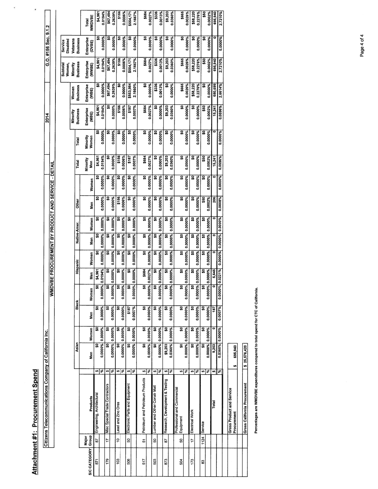Attachment #1: Procurement Spend Attachment #1: Procurement Spend

 $\blacksquare$ 

 $\begin{array}{c} \bullet \end{array}$ 

|              |                | Citizens Telecommunications Company of California Inc. |              |                                                    |                                  |                         |           |                         |                 |                 |          |                                                |                 |          | 2014                 |                          |                             | G.O. #156 Sec. 9.1.2 |               |
|--------------|----------------|--------------------------------------------------------|--------------|----------------------------------------------------|----------------------------------|-------------------------|-----------|-------------------------|-----------------|-----------------|----------|------------------------------------------------|-----------------|----------|----------------------|--------------------------|-----------------------------|----------------------|---------------|
|              |                |                                                        |              |                                                    |                                  | <b>NUMDA</b>            |           |                         |                 |                 |          | BE PROCUREMENT BY PRODUCT AND SERVICE - DETAIL |                 |          |                      |                          |                             |                      |               |
|              |                |                                                        |              |                                                    |                                  |                         |           |                         |                 |                 |          |                                                |                 |          |                      |                          | Subtotal<br>Women,          | Disabled<br>Service  |               |
|              |                |                                                        | Asian        |                                                    | Black                            |                         | Hispanic  |                         | Native-Amer.    |                 | Other    |                                                | Total           | Total    | Business<br>Minority | <b>Business</b><br>Women | <b>Business</b><br>Minority | Veterans<br>Business |               |
|              | Major<br>Group |                                                        |              |                                                    |                                  |                         |           |                         |                 |                 |          |                                                | <b>Minority</b> | Minority | Enterprise           | Enterprise               | Enterprise                  | Enterprise           | <b>Total</b>  |
| SIC CATEGORY |                | Products                                               | Men          | Women                                              | Men                              | Women                   | men<br>Si | Women                   | Men             | Women           | Men      | Women                                          | Nen             | Women    | (MBE)                | (WBE)                    | (WWBE)                      | (DVBE)               | <b>NWDVBE</b> |
| 571          | 29             | ∞ ङ<br>Engineering, Architectural                      |              | S                                                  | ន្ត<br>ន្ធ                       | ន្ត                     | \$4,961   | ຸຊ                      | ິ               | ຸລຸ             | ຸລຸ      | g                                              | \$4,961         | g        | \$4,961              | ន្ត                      | \$4,961                     | ິ                    | \$4,961       |
|              |                |                                                        |              | 0.0000% 0.0000%                                    | 0.0000%                          | 0.0000%                 | 0.0194%   | 0.0000%                 | 0.0000%         | 0.0000%         | 0.0000%  | 0.0000%                                        | 0.0194%         | 0.0000%  | 0.0194%              | 0.0000%                  | 0.0194%                     | 0.0000%              | 0.0194%       |
| 179          | Ħ              | ø<br>Misc Special Trade Contractors                    |              |                                                    | S)                               | ន្ល                     | ន្ធ       | ន្ល                     | ິ               | ຸຊ              | ິ        | ິ                                              | ິ               | ຸລຸ      | ន្ល                  | \$67,494                 | \$67,494                    | ន្ត                  | \$67,494      |
|              |                | ౹శ                                                     |              | 0.0000% 0.0000%                                    | 0.0000%                          | 0.0000%                 | 0.0000%   | 0.0000%                 | 0.0000%         | 0.0000%         | 0.0000%  | 0.0000%                                        | 0.0000%         | 0.0000%  | 0.0000%              | 0.2639%                  | 0.2639%                     | 0.0000%              | 0.2639%       |
| g            | ă              | ø<br>Lead and Zinc Ores                                |              | ន្ល                                                | ន្ត<br>ន្ត                       | ន្ល                     | g         | ິ                       | ន្ល             | S               | \$156    | ຸລຸ                                            | \$156           | ຸລຸ      | \$156                | ຸຊ                       | \$156                       | ន្ល                  | \$156         |
|              |                | ]ঃ                                                     |              | 0.0000% 0.0000%                                    | 0.0000%                          | 0.0000%                 | 0.0000%   | 0.0000%                 | 0.0000%         | 0.0000%         | 0.0006%  | 0.0000%                                        | 0.0006%         | 0.0000%  | 0.0006%              | 0.0000%                  | 0.0006%                     | 0.0000%              | 0.0006%       |
| 506          | នូ             | ø<br>Electronic Parts and Equipment                    |              | ន្ធ                                                | \$187<br>$\overline{\mathbf{a}}$ | ន្ត                     | g         | ន្ល                     | ន្ល             | SO <sub>1</sub> | S,       | ິ                                              | \$187           | ິ        | \$187                | \$553,984                | \$554,171                   | ຸຊ                   | \$554,171     |
|              |                | ४                                                      |              | 0.0000% 0.0000%                                    | 0.0007%                          | 0.0000%                 | 0.0000%   | 0.0000%                 | 0.0000%         | 0.0000%         | 0.0000%  | 0.0000%                                        | 0.0007%         | 0.0000%  | 0.0007%              | 2.1660%                  | 2.1667%                     | 0.0000%              | 2.1667%       |
| 517          | 5              | s<br>Petroleum and Petroleum Products                  |              | $\overline{\mathbf{s}}$<br>ន្ត                     | Ş,                               | <u>ទ</u>                | \$684     | g                       | ន្ត             | g               | g        | ន្ល                                            | \$684           | ន្ល      | \$684                | g                        | \$684                       | ន្ល                  | \$684         |
|              |                | 昌                                                      |              | 0.0000% 0.0000%                                    | 0.0000%                          | 0.0000%                 | 0.0027%   | 0.0000%                 | 0.0000%         | 0.0000%         | 0.0000%  | 0.0000%                                        | 0.0027%         | 0.0000%  | 0.0027%              | 0.0000%                  | 0.0027%                     | 0.0000%              | 0.0027%       |
| 503          | g              | জ $\sqrt{8}$<br>Lumber and Other Constr Mat            |              | $\overline{\mathbf{s}}$<br>ຊ                       | Ş                                | \$O                     | g,        | ິ                       | ຸຊ              | ន្ត             | ន្ត      | ຸລຸ                                            | Ş               | ន្ល      | g                    | \$336                    | \$336                       | å                    | \$336         |
|              |                |                                                        |              | 0.0000% 0.0000%                                    | 0.0000%                          | 0.0000%                 | 0.0000%   | 0.0000%                 | 0.0000%         | 0.0000%         | 0.0000%  | 0.0000%                                        | 0.0000%         | 0.0000%  | 0.0000%              | 0.0013%                  | 0.0013%                     | 0.0000%              | 0.0013%       |
| 873          | 29             | ∞ ङ<br>Research, Development & Testing                 | \$9,203      | ន្ធ                                                | Ş                                | ႙ၟ                      | <u>ន្</u> | ន្ធ                     | ຸຊ              | ន្ត             | ន្ធ      | ន្ត                                            | \$9,203         | ន្ត      | \$9,203              | ន្ធ                      | \$9,203                     | ន្ល                  | \$9,203       |
|              |                |                                                        |              | 0.0360% 0.0000%                                    | 0.0000%                          | 0.0000%                 | 0.0000%   | 0.0000%                 | 0.0000%         | 0.0000%         | 0.0000%  | 0.0000%                                        | 0.0360%         | 0.0000%  | 0.0360%              | 0.0000%                  | 0.0360%                     | 0.0000%              | 0.0360%       |
| 504          | SS             | ७ ह<br>Professional and Commercial<br>Equipment        |              | g<br>$\overline{\mathbf{s}}$                       | ន្ត                              | ធ្ល                     | 유         | ន្ត                     | ន្ល             | s,              | ន្ត      | ន្ធ                                            | ິ               | ន្ល      | g                    | \$665                    | \$665                       | ន្ល                  | \$665         |
|              |                |                                                        |              | 0.0000% 0.0000%                                    | 0.0000%                          | 0.0000%                 | 0.0000%   | 0.0000%                 | 0.0000% 0.0000% |                 | 0.0000%  | 0.0000%                                        | 0.0000%         | 0.0000%  | 0.0000%              | 0.0026%                  | 0.0026%                     | 0.0000%              | 0.0026%       |
| 173          | $\overline{u}$ | Ø<br>Electrical Work                                   |              | ន្ត<br>ន្ត                                         | ន្ល                              | ន្ល                     | ន្ត       | ິ                       | ន្ធ             | g               | <u>ន</u> | ន្ល                                            | ິ               | ິ        | ន្ល                  | \$58,220                 | \$58,220                    | ຸລ                   | \$58,220      |
|              |                | 圖                                                      |              | 0.0000% 0.0000%                                    | 0.0000%                          | 0.0000%                 | 0.0000%   | 0.0000%                 | 0.0000% 0.0000% |                 | 0.0000%  | 0.0000%                                        | 0.0000%         | 0.0000%  | 0.0000%              | 0.2276%                  | 0.2276%                     | 0.0000%              | 0.2276%       |
| 33           |                | U)<br>1124 Service                                     |              | $\overline{\mathbf{s}}$<br>$\overline{\mathbf{s}}$ | <u>ទ</u>                         | $\overline{\mathbf{a}}$ | ន្ត       | <u>ន</u>                | ິ               | S               | \$50     | ន្ធ                                            | \$50            | ន្ធ      | \$50                 | ន្ល                      | \$50                        | ິ                    | \$50          |
|              |                | 昂                                                      |              | 0.0000% 0.0000%                                    | 0.0000%                          | 0.0000%                 | 1.0000%   | 0.0000%                 | 0.0000% 0.0000% |                 | 0.0002%  | 0.0000%                                        | 0.0002%         | 0.0000%  | 0.0002%              | 0.0000%                  | 0.0002%                     | 0.0000%              | 0.0002%       |
|              |                | m<br>Total                                             | 9,203        |                                                    | 187                              | ō                       | 5,645     |                         |                 | o               | 206      | ۰                                              | 15,241          |          | 15,241               | 680,699                  | 695,940                     |                      | 695,940       |
|              |                | s,                                                     |              | 0.0360% 0.0000%                                    | 0.0007%                          | 0.0000%                 | 0.0221%   | 0.0000% 0.0000% 0.0000% |                 |                 | 0.0008%  | 0.0000%                                        | 0.0596%         | 0.0000%  | 0.0596%              | 2.6614%                  | 2.7210%                     | 0.0000%              | 2.7210%       |
|              |                |                                                        |              |                                                    |                                  |                         |           |                         |                 |                 |          |                                                |                 |          |                      |                          |                             |                      |               |
|              |                | Gross Product and Service<br>Procurement               | 695,940<br>u |                                                    |                                  |                         |           |                         |                 |                 |          |                                                |                 |          |                      |                          |                             |                      |               |
|              |                |                                                        |              |                                                    |                                  |                         |           |                         |                 |                 |          |                                                |                 |          |                      |                          |                             |                      |               |
|              |                | Gross California Procurement                           | \$25,576,420 |                                                    |                                  |                         |           |                         |                 |                 |          |                                                |                 |          |                      |                          |                             |                      |               |

Percentages are WMDVBE expenditures compared to total spend for CTC of California. Percentages are WMDVBE expenditures compared to total spend for CTC of California.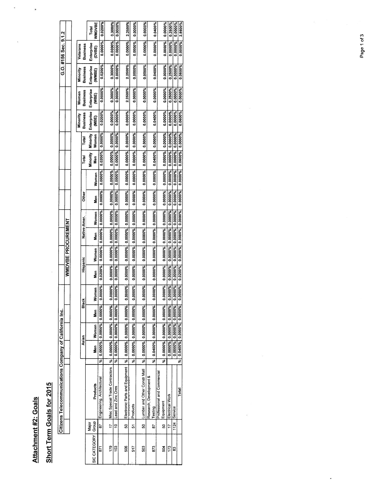### Attachment #2: Goals Attachment #2: Goals

 $\ddot{\phantom{a}}$ 

# Short Term Goals for 2015 Short Term Goals for 2015

|                                                        |                    |          |                 | Total           | <b>WMDVBE</b> | 0.0200%                    | 0.3000%                                 | 0.0000%                 | 2.2500%                        | 0.0000%                 | 0.0000%                      | 0.0400%                            |                             | 0.0000%                 | 0.2500%                 | 0.0000%                 | 2.8600%                         |
|--------------------------------------------------------|--------------------|----------|-----------------|-----------------|---------------|----------------------------|-----------------------------------------|-------------------------|--------------------------------|-------------------------|------------------------------|------------------------------------|-----------------------------|-------------------------|-------------------------|-------------------------|---------------------------------|
| G.O. #156 Sec. 9.1.2                                   |                    | Veterans | <b>Business</b> | Enterprise      | (DVBE)        | 0.0000%                    | 0.0000%                                 | 0.0000%                 | 0.0000%                        | 0.0000%                 | 0.0000%                      | 0.0000%                            |                             | 0.0000%                 | 0.0000%                 | 0.0000%                 | 0.0000%                         |
|                                                        |                    | Minority | Business        | Enterprise      | <b>Carima</b> | 0.0200%                    | 0.3000%                                 | 0.0000%                 | 2.2500%                        | 0.0000%                 | 0.0000%                      | 0.0400%                            |                             | 0.0000%                 | 0.2500%                 | 0.0000%                 | 0.0600%                         |
|                                                        |                    | Women    | <b>Business</b> | Enterprise      | (WBE)         | 0.0000%                    | 0.3000%                                 | 0.0000%                 | 2.2500%                        | 0.0000%                 | 0.0000%                      | 0.0000%                            |                             | 0.0000%                 | 0.2500%                 | 0.0000%                 | 0.0000%                         |
|                                                        |                    | Minority | <b>Business</b> | Enterprise      | (MBE)         | 0.0200%                    | 0.0000%                                 | 0.0000%                 | 0.0000%                        | 0.0000%                 | 0.0000%                      | 0.0400%                            |                             | 0.0000%                 | 0.0000%                 | 0.0000%                 | 0.0600%                         |
|                                                        |                    |          | Total           | Minority        | Women         | 0.0000%                    |                                         |                         | 0.0000%                        | 0.0000%                 | 0.0000%                      | 0.0000%                            |                             |                         | 0.0000%                 |                         |                                 |
|                                                        |                    |          | Total           | <b>Minority</b> | Men           | 0.0200%                    | 0.0000% 0.0000% 0.0000%                 | 0.0000% 0.0000%         | 0.0000%                        | 0.0000%                 | 0.0000%                      | 0.0400%                            |                             | 0.0000% 0.0000%         | 0.0000%                 | 0.0000% 0.0000%         | 0.0600% 0.0000%                 |
|                                                        |                    |          |                 |                 | Women         | 0.0000%                    |                                         | 0.0000%                 | 0.0000%                        | 0.0000%                 | 0.0000%                      | 0.0000%                            |                             | 0.0000%                 | 0.0000%                 | 0.0000%                 | 0.0000%                         |
|                                                        |                    |          | <b>Other</b>    |                 | Men           | 0.0000%                    | 0.0000% 0.0000% 0.0000% 0.0000% 0.0000% | 0.0000%                 | 0.0000%                        | 0.0000%                 | 0.0000%                      | 0.0000%                            |                             | 0.0000%                 | 0.0000%                 | 0.0000%                 | 0.0000%                         |
|                                                        |                    |          |                 |                 | Women         |                            |                                         |                         |                                |                         |                              |                                    |                             |                         |                         |                         | 0.0200% 0.0000% 0.0000% 0.0000% |
|                                                        | WMDVBE PROCUREMENT |          | Native-Amer.    |                 | Men           | 0.0000% 0.0000% 0.0000%    |                                         | 0.0000% 0.0000% 0.0000% | 0.0000% 0.0000% 0.0000%        | 0.0000% 0.0000% 0.0000% | 0.0000% 0.0000% 0.0000%      | 0.0000% 0.0000% 0.0000%            |                             | 0.0000% 0.0000% 0.0000% | 0.0000% 0.0000% 0.000%  | 0.0000% 0.0000% 0.0000% |                                 |
|                                                        |                    |          |                 |                 | Women         |                            |                                         |                         |                                |                         |                              |                                    |                             |                         |                         |                         |                                 |
|                                                        |                    |          | Hispanic        |                 | Men           | 0.0200%                    |                                         | 0.0000%                 | 0.0000%                        | 0.0000%                 | 0.0000%                      | 0.0000%                            |                             | 0.0000%                 | 0.000%                  | 0.000%                  |                                 |
|                                                        |                    |          |                 |                 | Women         | .0000%                     | 19000%<br>o                             | <b>0000%</b><br>o       | 0000%<br>ø                     | <b>%0000.</b><br>ø      | 0000%<br>ø                   | -0000%<br>ø                        |                             | ,0000%<br>o             | 1%0000.                 | 1%0000                  | 0000%                           |
|                                                        |                    |          | Black           |                 | Men           | 0.0000%                    |                                         | 0.0000%                 |                                | 0.0000%                 | 0.0000%                      | 0.0000%                            |                             |                         |                         |                         |                                 |
|                                                        |                    |          |                 |                 | Women         | 0.0000% 0.0000%            | 0.0000% 0.0000% 0.0000%                 | 0.0000% 0.0000%         | 0.0000% 0.0000% 0.0000%        | 0.0000% 0.0000%         | 0.0000% 0.0000%              | 0.0400% 0.0000%                    |                             | 0.0000% 0.0000% 0.0000% | 0.0000% 0.0000% 0.0000% | 0.0000% 0.0000% 0.0000% |                                 |
|                                                        |                    |          | Asian           |                 | Men           |                            |                                         |                         |                                |                         |                              |                                    |                             |                         |                         |                         | % 0.0400% 0.0000% 0.0000%       |
|                                                        |                    |          |                 |                 |               | द्भ                        | se<br>Se                                | इ                       | F                              | इ                       | F                            | ्रू                                |                             | š                       |                         |                         |                                 |
| Citizens Telecommunications Company of California Inc. |                    |          |                 |                 | Products      | Engineering, Architectural | Misc Special Trade Contractors          | Lead and Zinc Ores      | Electronic Parts and Equipment | Products                | Lumber and Other Constr Matl | Research, Development &<br>Testing | Professional and Commercial | Equipment               | Electrical Work         | Service                 | Total                           |
|                                                        |                    |          |                 | Major           | dholp         | 67                         | Þ                                       | å                       | S                              | 5                       | g                            | 87                                 |                             | ន                       | 17                      | 1124                    |                                 |
|                                                        |                    |          |                 | SIC CATEGORY    |               | 671                        | 179                                     | ខួ                      | 506                            | 517                     | នី                           | 873                                |                             | ន្លី                    | 173                     | 3                       |                                 |

×,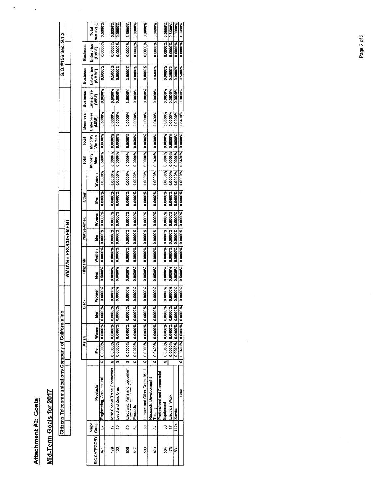Attachment #2: Goals Attachment #2: Goals

## Mid-Term Goals for 2017 Mid-Term Goals for 2017

|                   | י |  |
|-------------------|---|--|
|                   |   |  |
| Í<br>İ            |   |  |
| ļ<br>:            |   |  |
| ļ<br>ś<br>i       | l |  |
|                   |   |  |
| $2$ ens<br>5<br>í |   |  |

 $\hat{\mathbf{u}}$ 

 $\overline{\phantom{a}}$ 

|                 | <b>WMDVBE</b><br>Total         | 0.5000%                    | 0.5000%                                                         | 0.0000%                 | 3.5000%                                                          | 0.0000%                 | 0.0000%                      | 0.0400%                            | 0.0000%                                  | 0.3500%                 | 0.0000%                 | 4.8900%                      |
|-----------------|--------------------------------|----------------------------|-----------------------------------------------------------------|-------------------------|------------------------------------------------------------------|-------------------------|------------------------------|------------------------------------|------------------------------------------|-------------------------|-------------------------|------------------------------|
| <b>Business</b> | Enterprise<br>(DVBE)           | 0.0000%                    | 0.0000%                                                         | 0.0000%                 | 0.0000%                                                          | 0.0000%                 | 0.0000%                      | 0.0000%                            | 0.0000%                                  | 0.0000%                 | 0.0000%                 | 0.000%                       |
| <b>Business</b> | Enterprise<br>(WWBE)           | 0.5000%                    | 0.5000%                                                         | 0.0000%                 | 3.5000%                                                          | 0.0000%                 | 0.0000%                      | 0.0400%                            | 0.0000%                                  | 0.3500%                 | 0.0000%                 | 0.5400%                      |
| <b>Business</b> | Enterprise<br>冒                | 0.0000%                    | 0.5000%                                                         | 0.0000%                 | 3.5000%                                                          | 0.0000%                 | 0.0000%                      | 0.0000%                            | 0.0000%                                  | 0.3500%                 | 0.0000%                 | 0.0000%                      |
| <b>Business</b> | Minority   Enterprise<br>(MBE) | 0.5000%                    | 0.0000%                                                         | 0.0000%                 | 0.0000%                                                          | 0.0000%                 | 0.0000%                      | 0.0400%                            | 0.0000%                                  | 0.0000%                 | 0.0000%                 | 0.5400%                      |
| Total           | Women                          | 0.0000%                    |                                                                 | 0.0000%                 |                                                                  | 0.0000%                 | 0.0000%                      | 0.0000%                            |                                          | 0.0000%                 | 0.0000%                 |                              |
| Total           | Minority<br>Men                | 0.5000%                    | 0.0000% 0.0000%                                                 | 0.0000%                 |                                                                  | 0.0000%                 | 0.0000%                      | 0.0400%                            | 0.0000% 0.0000%                          | 0.0000%                 | 0.0000%                 | 0.5400% 0.0000%              |
|                 | Women                          | 0.0000%                    | 0.0000%                                                         | 0.0000%                 | 0.0000% 0.0000% 0.0000% 0.0000%                                  | 0.0000%                 | 0.0000%                      | 0.0000%                            | 0.0000%                                  | 0.0000%                 | 0.0000%                 | 0.0000;0                     |
| <b>Other</b>    | Men                            | 0.0000%                    | 0.0000%                                                         | 0.000%                  |                                                                  | 0.000%                  | 0.0000%                      | 0.0000%                            | 0.0000%                                  | 0.0000%                 | 0.000%                  | 0.000%                       |
| Native-Amer.    | Women                          |                            |                                                                 | 0.0000% 0.0000% 0.0000% |                                                                  |                         |                              |                                    | 0.0000% 0.0000% 0.0000%                  |                         | 0.0000% 0.0000% 0.0000% | 0.0000% 0.0000% 0.0000%      |
|                 | Nen<br>S                       | 0.0000% 0.0000% 0.0000%    | 0.0000% 0.0000% 0.0000%                                         |                         |                                                                  | 0.0000% 0.0000% 0.0000% | 0.0000% 0.0000% 0.0000%      | 0.0000% 0.0000% 0.0000%            |                                          | 0.0000% 0.0000% 0.0000% |                         |                              |
|                 | Women                          |                            |                                                                 |                         | 0.0000% 0.0000% 0.0000%                                          |                         |                              |                                    |                                          |                         |                         |                              |
| Hispanic        | Men                            | 0.5000%                    | 0.0000%                                                         | 0.0000%                 | 0.0000%                                                          | 0.0000%                 | 0.0000%                      | 0.0000%                            | 0.0000%                                  | 0.0000%                 | 0.0000%                 | 0.5000%                      |
|                 | Women                          | 0000%<br>ĕ                 | 0.0000%                                                         | 0000%<br>ē              | 0.0000%                                                          | 0000%<br>ĕ              | 0.0000%                      | 0.0000%                            | 0.0000%                                  | 0.0000%                 | 0.0000%                 | 0.0000%                      |
| Black           | Men                            |                            |                                                                 | 0.0000% 0.0000% 0.0000% |                                                                  |                         |                              |                                    | 0.0000% 0.0000% 0.0000%                  |                         | 0.0000% 0.0000% 0.0000% |                              |
| Asian           | Women                          | 0.0000% 0.0000% 0.000%     |                                                                 |                         |                                                                  | 0.0000% 0.0000% 0.0000% |                              | 0.0400% 0.0000% 0.0000%            |                                          | 0.0000% 0.0000% 0.0000% |                         |                              |
|                 | ∫<br>≹                         |                            |                                                                 |                         |                                                                  |                         | %  0.0000%  0.0000%  0.0000% |                                    |                                          |                         |                         | %  0.0400%  0.0000%  0.0000% |
|                 |                                | ू<br>इ                     |                                                                 | ze<br>S                 |                                                                  | रू<br>अ                 |                              | रू<br>अ                            | ॢ                                        |                         |                         |                              |
|                 | Products                       | Engineering, Architectural | Misc Special Trade Contractors  %   0.0000%   0.0000%   0.0000% | Lead and Zinc Ores      | Electronic Parts and Equipment   %   0.0000%   0.0000%   0.0000% | Products                | Lumber and Other Constr Matl | Research, Development &<br>Testing | Professional and Commercial<br>Equipment | Electrical Work         | Service                 | Total                        |
|                 | Major                          | 57                         | 17                                                              | ă                       | នូ                                                               | 5                       | ន                            | 52                                 | ິສ                                       | 17                      | 1124                    |                              |
|                 | SIC CATEGORY   Group           | 671                        | 179                                                             | °3                      | 506                                                              | 517                     | 503                          | 873                                | 504                                      | 173                     | S3                      |                              |

 $\widetilde{v}$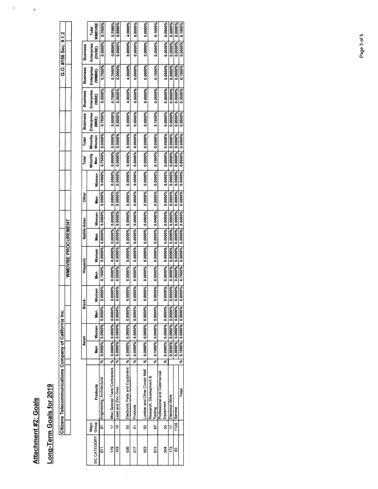Attachment #2: Goals Attachment #2: Goals

## Long-Term Goals for 2019 Long-Term Goals for 2019

|                                                                                                                                                          | $\mathcal{L}^{\text{max}}_{\text{max}}$ and $\mathcal{L}^{\text{max}}_{\text{max}}$ and $\mathcal{L}^{\text{max}}_{\text{max}}$ |  |
|----------------------------------------------------------------------------------------------------------------------------------------------------------|---------------------------------------------------------------------------------------------------------------------------------|--|
|                                                                                                                                                          |                                                                                                                                 |  |
| l                                                                                                                                                        |                                                                                                                                 |  |
| Ì                                                                                                                                                        |                                                                                                                                 |  |
| ֺ֘                                                                                                                                                       |                                                                                                                                 |  |
| ֖֖֪ׅׅׅׅ֧ׅׅׅ֧ׅ֖֧ׅ֖֧ׅ֖֧֧ׅ֧֧ׅ֧֧֧֧֧֧֧֧֧֧֧֚֚֚֚֚֚֚֚֚֚֚֚֚֚֚֚֚֚֚֚֡֝֝֝֝֝֝֝֬֝֬֝֬֝֬֝֬֝֬֞֝֬֝֬֞֝֬֝֬֞֝֬֝֬֞֝֞֝֬֝֞֞֝֬֝֬֝֬֝֬֝<br>֧֧֧֧֧֪֧֪֧֧֪֧֪֧֪֧֪֧֪֧֛֪֧֛֪֧֪֧֪֧֪֧֪֧֚֚֚֝֝֝ |                                                                                                                                 |  |
| י                                                                                                                                                        |                                                                                                                                 |  |

 $\bullet$ 

| Total<br><b>Other</b><br>Native-Amer.<br>Hispanic<br>Black<br>Asian                                                                 |  |  |  |  |  |          |                         |                 | Total               | <b>Business</b> | <b>Business</b>  | <b>Business</b>             | <b>Business</b>      |                        |
|-------------------------------------------------------------------------------------------------------------------------------------|--|--|--|--|--|----------|-------------------------|-----------------|---------------------|-----------------|------------------|-----------------------------|----------------------|------------------------|
| Major                                                                                                                               |  |  |  |  |  |          |                         |                 |                     |                 |                  |                             |                      |                        |
| Women<br>men<br>Se<br>Women<br>Men<br>omen<br>š<br>Men<br>Women<br>S<br>Sen<br>Products<br>SIC CATEGORY Group                       |  |  |  |  |  | Nen<br>S | Women                   | Minority<br>Men | Minority  <br>Women | Enterprise<br>g | Enterprise<br>go | Enterprise<br><b>(WWBE)</b> | Enterprise<br>(DVBE) | <b>WWDVBE</b><br>Total |
| 0.0000%<br>0.0000%<br>0.000%<br>0.7500%<br>0.0000%<br>0.0000%<br>0.000%<br>0.0000%<br>₹<br>Engineering, Architectural<br>52         |  |  |  |  |  | 0.000%   | 0.0000%                 | 0.7500%         | 0.0000%             | 0.7500%         | 0.0000%          | 0.7500%                     | 0.0000%              | 0.7500%                |
| 0.0000%  0.0000%  0.0000%  0.0000%  0.0000% <br>0000%<br>ă<br>% 0.0000% 0.0000% 0.0000%<br>Misc Special Trade Contractors<br>17     |  |  |  |  |  |          | 0.0000% 0.0000% 0.0000% |                 |                     | 0.0000%         | 0.7500%          | 0.7500%                     |                      |                        |
|                                                                                                                                     |  |  |  |  |  |          |                         |                 |                     |                 |                  |                             | 0.0000%              | 0.7500%                |
| 0.0000% 0.0000%<br>0.0000%<br>0.0000%<br>0000%<br>ö<br>0.0000% 0.0000% 0.0000%<br>ze<br>S<br>Lead and Zinc Ores<br>å                |  |  |  |  |  | 0.0000%  | 0.0000%                 | 0.0000% 0.0000% |                     | 0.000%          | 0.0000%          | 0.0000%                     | 0.0000%              | 0.0000%                |
| 0.0000% 0.0000% 0.0000% 0.0000% 0.0000%<br>0000%<br>ĕ<br>Electronic Parts and Equipment  %   0.0000%   0.0000%   0.0000%<br>នួ      |  |  |  |  |  |          | 0.0000% 0.0000% 0.0000% |                 |                     | 0.0000%         | 4.0000%          | 4.0000%                     | 0.0000%              | 4.0000%                |
| 0.0000% 0.0000% 0.0000%<br>0.0000%<br>0.0000%<br>0.0000% 0.0000% 0.0000%<br>द्भ<br>77.757.777.777.777.777.777.777<br>Products<br>51 |  |  |  |  |  | 0.0000%  | 0.0000%                 | 0.0000%         | 0.0000%             | 0.0000%         | 0.0000%          | 0.0000%                     | 0.0000%              | 0.0000%                |
| 0.0000%  0.0000%  0.0000%  0.0000% <br>0.0000%<br>$ %$ 0.0000% 0.0000% 0.0000%<br>Lumber and Other Constr Matl<br>ន                 |  |  |  |  |  | 0.0000%  | 0.0000%                 | 0.0000% 0.0000% |                     | 0.0000%         | 0.0000%          | 0.0000%                     | 0.0000%              | 0.0000%                |
| Research, Development &                                                                                                             |  |  |  |  |  |          |                         |                 |                     |                 |                  |                             |                      |                        |
| 0.0000% 0.0000% 0.0000% 0.0000%<br>0000%<br>ĕ<br>0.1000% 0.0000% 0.0000%<br>इ<br>Testing<br>59                                      |  |  |  |  |  | 0.0000%  | 0.0000% 0.1000% 0.0000% |                 |                     | 0.1000%         | 0.0000%          | 0.1000%                     | 0.0000%              | 0.1000%                |
| Professional and Commercial                                                                                                         |  |  |  |  |  |          |                         |                 |                     |                 |                  |                             |                      |                        |
| 0.0000% 0.0000% 0.0000% 0.0000%<br>0.0000%<br>%  0.0000%  0.0000%  0.0000% <br>Equipment<br>SO                                      |  |  |  |  |  | 0.0000%  | 0.0000%                 | 0.0000% 0.0000% |                     | 0.0000%         | 0.0000%          | 0.0000%                     | 0.0000%              | 0.0000%                |
| 0.0000% 0.0000% 0.0000%<br>0.0000%<br>0000%<br>ĕ<br>0.0000% 0.0000% 0.0000%<br>Electrical Work<br>17                                |  |  |  |  |  | 0.0000%  | 0.0000%                 | 0.0000% 0.0000% |                     | 0.000%          | 0.5000%          | 0.5000%                     | 0.0000%              | 0.5000%                |
| 0.0000% 0.0000% 0.0000% 0.0000%<br>0000%<br>o<br>0.0000% 0.0000% 0.0000%<br>Service<br>1124                                         |  |  |  |  |  | 0.0000%  | 0.0000%                 | 0.0000% 0.0000% |                     | 0.0000%         | 0.0000%          | 0.0000%                     | 0.0000%              | 0.0000%                |
| 0.7500% 0.0000% 0.0000% 0.0000%<br>0000%<br>ø<br>%  0.1000%  0.0000%  0.0000% <br>Total                                             |  |  |  |  |  | 0.0000%  | 0.0000%                 | 0.8500% 0.0000% |                     | 0.8500%         | 5.2500%          | 6.1000%                     | 0.0000%              | 6.1000%                |

 $\tilde{\omega}$